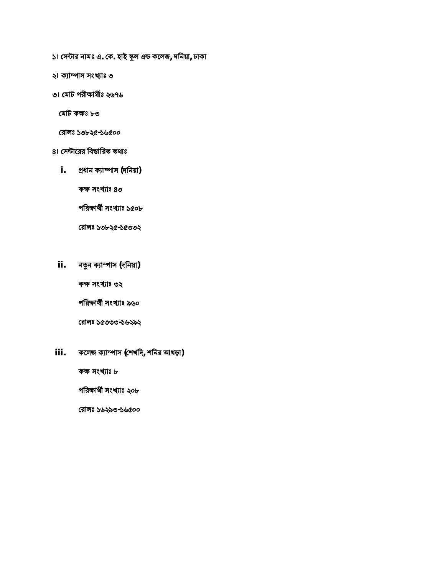- **১। ǯস˂ার নামঃ এ. ǯক. হাই Ѻল এ˅ কেলজ, দিনয়া, ঢাকা**
- **২। কɇা˫াস সংাঃ ৩**
- **৩। ǯমাট পরীɻাথ̭ঃ ২৬৭৬**

 **ǯমাট কɻঃ ৮৩**

 **ǯরালঃ ১৩৮২৫-১৬৫০০**

- **৪। ǯস˂ােরর িব̜ািরত তΐঃ**
	- **i. ɛধান কɇা˫াস (দিনয়া)**

**কɻ সংাঃ ৪৩**

**পিরɻাথ̭ সংাঃ ১৫০৮**

**ǯরালঃ ১৩৮২৫-১৫৩৩২**

**ii. নҶন কɇা˫াস (দিনয়া)**

**কɻ সংাঃ ৩২**

**পিরɻাথ̭ সংাঃ ৯৬০**

**ǯরালঃ ১৫৩৩৩-১৬২৯২**

**iii. কেলজ কɇা˫াস (ǯশখিদ, শিনর আখড়া)**

**কɻ সংাঃ ৮**

**পিরɻাথ̭ সংাঃ ২০৮**

**ǯরালঃ ১৬২৯৩-১৬৫০০**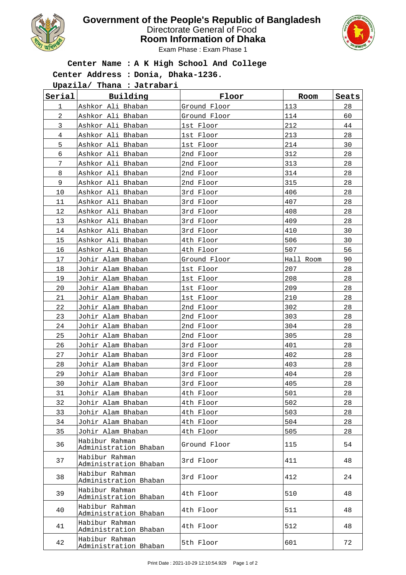

## **Government of the People's Republic of Bangladesh**

Directorate General of Food

**Room Information of Dhaka**



Exam Phase : Exam Phase 1

## **Center Name : A K High School And College**

**Center Address : Donia, Dhaka-1236.**

**Upazila/ Thana : Jatrabari**

| Serial         | Building                                | Floor        | Room      | Seats |
|----------------|-----------------------------------------|--------------|-----------|-------|
| 1              | Ashkor Ali Bhaban                       | Ground Floor | 113       | 28    |
| $\overline{c}$ | Ashkor Ali Bhaban                       | Ground Floor | 114       | 60    |
| $\mathfrak{Z}$ | Ashkor Ali Bhaban                       | 1st Floor    | 212       | 44    |
| $\overline{4}$ | Ashkor Ali Bhaban                       | 1st Floor    | 213       | 28    |
| 5              | Ashkor Ali Bhaban                       | 1st Floor    | 214       | 30    |
| 6              | Ashkor Ali Bhaban                       | 2nd Floor    | 312       | 28    |
| 7              | Ashkor Ali Bhaban                       | 2nd Floor    | 313       | 28    |
| 8              | Ashkor Ali Bhaban                       | 2nd Floor    | 314       | 28    |
| 9              | Ashkor Ali Bhaban                       | 2nd Floor    | 315       | 28    |
| 10             | Ashkor Ali Bhaban                       | 3rd Floor    | 406       | 28    |
| 11             | Ashkor Ali Bhaban                       | 3rd Floor    | 407       | 28    |
| 12             | Ashkor Ali Bhaban                       | 3rd Floor    | 408       | 28    |
| 13             | Ashkor Ali Bhaban                       | 3rd Floor    | 409       | 28    |
| 14             | Ashkor Ali Bhaban                       | 3rd Floor    | 410       | 30    |
| 15             | Ashkor Ali Bhaban                       | 4th Floor    | 506       | 30    |
| 16             | Ashkor Ali Bhaban                       | 4th Floor    | 507       | 56    |
| 17             | Johir Alam Bhaban                       | Ground Floor | Hall Room | 90    |
| 18             | Johir Alam Bhaban                       | 1st Floor    | 207       | 28    |
| 19             | Johir Alam Bhaban                       | 1st Floor    | 208       | 28    |
| 20             | Johir Alam Bhaban                       | 1st Floor    | 209       | 28    |
| 21             | Johir Alam Bhaban                       | 1st Floor    | 210       | 28    |
| 22             | Johir Alam Bhaban                       | 2nd Floor    | 302       | 28    |
| 23             | Johir Alam Bhaban                       | 2nd Floor    | 303       | 28    |
| 24             | Johir Alam Bhaban                       | 2nd Floor    | 304       | 28    |
| 25             | Johir Alam Bhaban                       | 2nd Floor    | 305       | 28    |
| 26             | Johir Alam Bhaban                       | 3rd Floor    | 401       | 28    |
| 27             | Johir Alam Bhaban                       | 3rd Floor    | 402       | 28    |
| 28             | Johir Alam Bhaban                       | 3rd Floor    | 403       | 28    |
| 29             | Johir Alam Bhaban                       | 3rd Floor    | 404       | 28    |
| 30             | Johir Alam Bhaban                       | 3rd Floor    | 405       | 28    |
| 31             | Johir Alam Bhaban                       | 4th Floor    | 501       | 28    |
| 32             | Johir Alam Bhaban                       | 4th Floor    | 502       | 28    |
| 33             | Johir Alam Bhaban                       | 4th Floor    | 503       | 28    |
| 34             | Johir Alam Bhaban                       | 4th Floor    | 504       | 28    |
| 35             | Johir Alam Bhaban                       | 4th Floor    | 505       | 28    |
| 36             | Habibur Rahman<br>Administration Bhaban | Ground Floor | 115       | 54    |
| 37             | Habibur Rahman<br>Administration Bhaban | 3rd Floor    | 411       | 48    |
| 38             | Habibur Rahman<br>Administration Bhaban | 3rd Floor    | 412       | 24    |
| 39             | Habibur Rahman<br>Administration Bhaban | 4th Floor    | 510       | 48    |
| 40             | Habibur Rahman<br>Administration Bhaban | 4th Floor    | 511       | 48    |
| 41             | Habibur Rahman<br>Administration Bhaban | 4th Floor    | 512       | 48    |
| 42             | Habibur Rahman<br>Administration Bhaban | 5th Floor    | 601       | 72    |